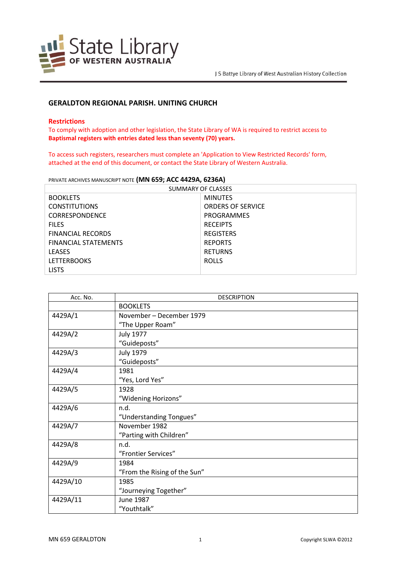

# **GERALDTON REGIONAL PARISH. UNITING CHURCH**

## **Restrictions**

To comply with adoption and other legislation, the State Library of WA is required to restrict access to **Baptismal registers with entries dated less than seventy (70) years.**

To access such registers, researchers must complete an 'Application to View Restricted Records' form, attached at the end of this document, or contact the State Library of Western Australia.

PRIVATE ARCHIVES MANUSCRIPT NOTE **(MN 659; ACC 4429A, 6236A)**

| SUMMARY OF CLASSES          |                          |  |
|-----------------------------|--------------------------|--|
| <b>BOOKLETS</b>             | <b>MINUTES</b>           |  |
| <b>CONSTITUTIONS</b>        | <b>ORDERS OF SERVICE</b> |  |
| <b>CORRESPONDENCE</b>       | PROGRAMMES               |  |
| <b>FILES</b>                | <b>RECEIPTS</b>          |  |
| <b>FINANCIAL RECORDS</b>    | <b>REGISTERS</b>         |  |
| <b>FINANCIAL STATEMENTS</b> | <b>REPORTS</b>           |  |
| <b>LEASES</b>               | <b>RETURNS</b>           |  |
| <b>LETTERBOOKS</b>          | <b>ROLLS</b>             |  |
| <b>LISTS</b>                |                          |  |

| Acc. No. | <b>DESCRIPTION</b>           |
|----------|------------------------------|
|          | <b>BOOKLETS</b>              |
| 4429A/1  | November – December 1979     |
|          | "The Upper Roam"             |
| 4429A/2  | <b>July 1977</b>             |
|          | "Guideposts"                 |
| 4429A/3  | <b>July 1979</b>             |
|          | "Guideposts"                 |
| 4429A/4  | 1981                         |
|          | "Yes, Lord Yes"              |
| 4429A/5  | 1928                         |
|          | "Widening Horizons"          |
| 4429A/6  | n.d.                         |
|          | "Understanding Tongues"      |
| 4429A/7  | November 1982                |
|          | "Parting with Children"      |
| 4429A/8  | n.d.                         |
|          | "Frontier Services"          |
| 4429A/9  | 1984                         |
|          | "From the Rising of the Sun" |
| 4429A/10 | 1985                         |
|          | "Journeying Together"        |
| 4429A/11 | June 1987                    |
|          | "Youthtalk"                  |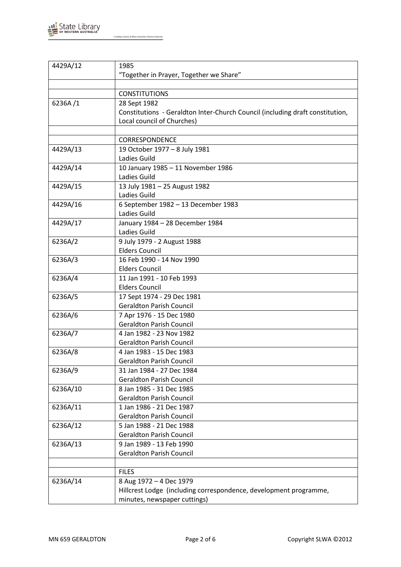

| 4429A/12 | 1985                                                                          |
|----------|-------------------------------------------------------------------------------|
|          | "Together in Prayer, Together we Share"                                       |
|          |                                                                               |
|          | <b>CONSTITUTIONS</b>                                                          |
| 6236A/1  | 28 Sept 1982                                                                  |
|          | Constitutions - Geraldton Inter-Church Council (including draft constitution, |
|          | Local council of Churches)                                                    |
|          |                                                                               |
|          | <b>CORRESPONDENCE</b>                                                         |
| 4429A/13 | 19 October 1977 - 8 July 1981                                                 |
|          | Ladies Guild                                                                  |
| 4429A/14 | 10 January 1985 - 11 November 1986                                            |
|          | Ladies Guild                                                                  |
| 4429A/15 | 13 July 1981 - 25 August 1982                                                 |
|          | Ladies Guild                                                                  |
| 4429A/16 | 6 September 1982 - 13 December 1983                                           |
|          | Ladies Guild                                                                  |
| 4429A/17 | January 1984 - 28 December 1984                                               |
|          | Ladies Guild                                                                  |
| 6236A/2  | 9 July 1979 - 2 August 1988                                                   |
|          | <b>Elders Council</b>                                                         |
| 6236A/3  | 16 Feb 1990 - 14 Nov 1990                                                     |
|          | <b>Elders Council</b>                                                         |
| 6236A/4  | 11 Jan 1991 - 10 Feb 1993                                                     |
|          | <b>Elders Council</b>                                                         |
| 6236A/5  | 17 Sept 1974 - 29 Dec 1981                                                    |
|          | <b>Geraldton Parish Council</b>                                               |
| 6236A/6  | 7 Apr 1976 - 15 Dec 1980                                                      |
|          | <b>Geraldton Parish Council</b>                                               |
| 6236A/7  | 4 Jan 1982 - 23 Nov 1982                                                      |
|          | <b>Geraldton Parish Council</b>                                               |
| 6236A/8  | 4 Jan 1983 - 15 Dec 1983                                                      |
|          | <b>Geraldton Parish Council</b>                                               |
|          |                                                                               |
| 6236A/9  | 31 Jan 1984 - 27 Dec 1984                                                     |
|          | <b>Geraldton Parish Council</b>                                               |
| 6236A/10 | 8 Jan 1985 - 31 Dec 1985                                                      |
|          | <b>Geraldton Parish Council</b>                                               |
| 6236A/11 | 1 Jan 1986 - 21 Dec 1987                                                      |
|          | <b>Geraldton Parish Council</b>                                               |
| 6236A/12 | 5 Jan 1988 - 21 Dec 1988                                                      |
|          | <b>Geraldton Parish Council</b>                                               |
| 6236A/13 | 9 Jan 1989 - 13 Feb 1990                                                      |
|          | <b>Geraldton Parish Council</b>                                               |
|          |                                                                               |
|          | <b>FILES</b>                                                                  |
| 6236A/14 | 8 Aug 1972 - 4 Dec 1979                                                       |
|          | Hillcrest Lodge (including correspondence, development programme,             |
|          | minutes, newspaper cuttings)                                                  |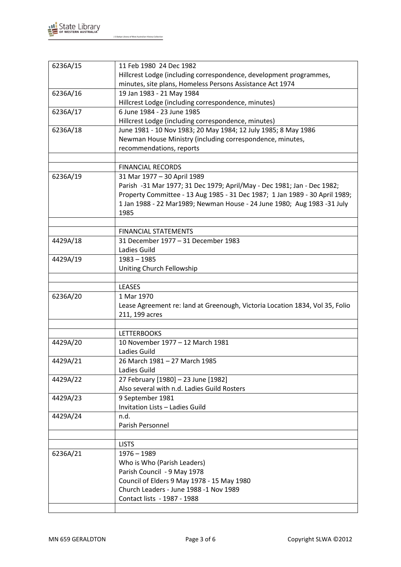

| 6236A/15 | 11 Feb 1980 24 Dec 1982                                                      |
|----------|------------------------------------------------------------------------------|
|          | Hillcrest Lodge (including correspondence, development programmes,           |
|          | minutes, site plans, Homeless Persons Assistance Act 1974                    |
| 6236A/16 | 19 Jan 1983 - 21 May 1984                                                    |
|          | Hillcrest Lodge (including correspondence, minutes)                          |
| 6236A/17 | 6 June 1984 - 23 June 1985                                                   |
|          | Hillcrest Lodge (including correspondence, minutes)                          |
| 6236A/18 | June 1981 - 10 Nov 1983; 20 May 1984; 12 July 1985; 8 May 1986               |
|          | Newman House Ministry (including correspondence, minutes,                    |
|          | recommendations, reports                                                     |
|          |                                                                              |
|          | <b>FINANCIAL RECORDS</b>                                                     |
| 6236A/19 | 31 Mar 1977 - 30 April 1989                                                  |
|          | Parish -31 Mar 1977; 31 Dec 1979; April/May - Dec 1981; Jan - Dec 1982;      |
|          | Property Committee - 13 Aug 1985 - 31 Dec 1987; 1 Jan 1989 - 30 April 1989;  |
|          | 1 Jan 1988 - 22 Mar1989; Newman House - 24 June 1980; Aug 1983 - 31 July     |
|          | 1985                                                                         |
|          |                                                                              |
|          | <b>FINANCIAL STATEMENTS</b>                                                  |
| 4429A/18 | 31 December 1977 - 31 December 1983                                          |
|          | Ladies Guild                                                                 |
| 4429A/19 | $1983 - 1985$                                                                |
|          | Uniting Church Fellowship                                                    |
|          |                                                                              |
|          | <b>LEASES</b>                                                                |
| 6236A/20 | 1 Mar 1970                                                                   |
|          | Lease Agreement re: land at Greenough, Victoria Location 1834, Vol 35, Folio |
|          | 211, 199 acres                                                               |
|          |                                                                              |
|          | <b>LETTERBOOKS</b>                                                           |
| 4429A/20 | 10 November 1977 - 12 March 1981                                             |
|          | Ladies Guild                                                                 |
| 4429A/21 | 26 March 1981 - 27 March 1985                                                |
|          | Ladies Guild                                                                 |
| 4429A/22 | 27 February [1980] - 23 June [1982]                                          |
|          | Also several with n.d. Ladies Guild Rosters                                  |
| 4429A/23 | 9 September 1981                                                             |
|          | Invitation Lists - Ladies Guild                                              |
|          |                                                                              |
| 4429A/24 | n.d.<br>Parish Personnel                                                     |
|          |                                                                              |
|          |                                                                              |
|          | <b>LISTS</b>                                                                 |
| 6236A/21 | $1976 - 1989$                                                                |
|          | Who is Who (Parish Leaders)                                                  |
|          | Parish Council - 9 May 1978                                                  |
|          | Council of Elders 9 May 1978 - 15 May 1980                                   |
|          | Church Leaders - June 1988 -1 Nov 1989                                       |
|          | Contact lists - 1987 - 1988                                                  |
|          |                                                                              |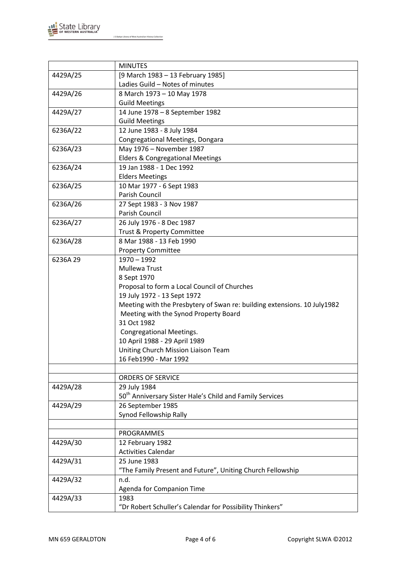

|          | <b>MINUTES</b>                                                           |
|----------|--------------------------------------------------------------------------|
| 4429A/25 | [9 March 1983 - 13 February 1985]                                        |
|          | Ladies Guild - Notes of minutes                                          |
| 4429A/26 | 8 March 1973 - 10 May 1978                                               |
|          | <b>Guild Meetings</b>                                                    |
| 4429A/27 | 14 June 1978 - 8 September 1982                                          |
|          | <b>Guild Meetings</b>                                                    |
| 6236A/22 | 12 June 1983 - 8 July 1984                                               |
|          | Congregational Meetings, Dongara                                         |
| 6236A/23 | May 1976 - November 1987                                                 |
|          | <b>Elders &amp; Congregational Meetings</b>                              |
| 6236A/24 | 19 Jan 1988 - 1 Dec 1992                                                 |
|          | <b>Elders Meetings</b>                                                   |
| 6236A/25 | 10 Mar 1977 - 6 Sept 1983                                                |
|          | Parish Council                                                           |
| 6236A/26 | 27 Sept 1983 - 3 Nov 1987                                                |
|          | Parish Council                                                           |
| 6236A/27 | 26 July 1976 - 8 Dec 1987                                                |
|          | Trust & Property Committee                                               |
| 6236A/28 | 8 Mar 1988 - 13 Feb 1990                                                 |
|          | <b>Property Committee</b>                                                |
| 6236A 29 | $1970 - 1992$                                                            |
|          | Mullewa Trust                                                            |
|          | 8 Sept 1970                                                              |
|          | Proposal to form a Local Council of Churches                             |
|          | 19 July 1972 - 13 Sept 1972                                              |
|          | Meeting with the Presbytery of Swan re: building extensions. 10 July1982 |
|          | Meeting with the Synod Property Board                                    |
|          | 31 Oct 1982                                                              |
|          | <b>Congregational Meetings.</b>                                          |
|          | 10 April 1988 - 29 April 1989                                            |
|          | Uniting Church Mission Liaison Team                                      |
|          | 16 Feb1990 - Mar 1992                                                    |
|          |                                                                          |
|          | <b>ORDERS OF SERVICE</b>                                                 |
| 4429A/28 | 29 July 1984                                                             |
|          | 50 <sup>th</sup> Anniversary Sister Hale's Child and Family Services     |
| 4429A/29 | 26 September 1985                                                        |
|          | Synod Fellowship Rally                                                   |
|          |                                                                          |
|          | PROGRAMMES                                                               |
| 4429A/30 | 12 February 1982                                                         |
|          | <b>Activities Calendar</b>                                               |
| 4429A/31 | 25 June 1983                                                             |
|          | "The Family Present and Future", Uniting Church Fellowship               |
| 4429A/32 | n.d.                                                                     |
|          | Agenda for Companion Time                                                |
| 4429A/33 | 1983                                                                     |
|          | "Dr Robert Schuller's Calendar for Possibility Thinkers"                 |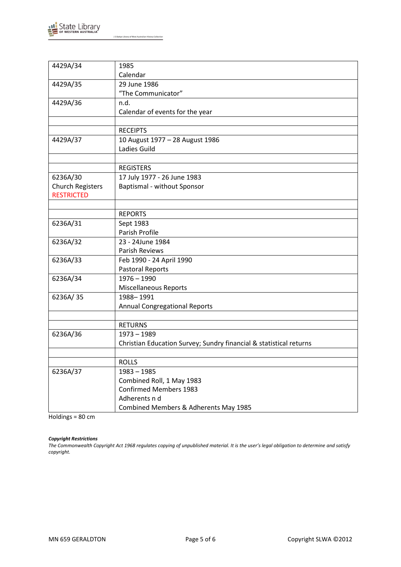

| 4429A/34                | 1985                                                               |  |
|-------------------------|--------------------------------------------------------------------|--|
|                         | Calendar                                                           |  |
| 4429A/35                | 29 June 1986                                                       |  |
|                         | "The Communicator"                                                 |  |
| 4429A/36                | n.d.                                                               |  |
|                         | Calendar of events for the year                                    |  |
|                         |                                                                    |  |
|                         | <b>RECEIPTS</b>                                                    |  |
| 4429A/37                | 10 August 1977 - 28 August 1986                                    |  |
|                         | Ladies Guild                                                       |  |
|                         |                                                                    |  |
|                         | <b>REGISTERS</b>                                                   |  |
| 6236A/30                | 17 July 1977 - 26 June 1983                                        |  |
| <b>Church Registers</b> | Baptismal - without Sponsor                                        |  |
| <b>RESTRICTED</b>       |                                                                    |  |
|                         |                                                                    |  |
|                         | <b>REPORTS</b>                                                     |  |
| 6236A/31                | Sept 1983                                                          |  |
|                         | Parish Profile                                                     |  |
| 6236A/32                | 23 - 24June 1984                                                   |  |
|                         | Parish Reviews                                                     |  |
| 6236A/33                | Feb 1990 - 24 April 1990                                           |  |
|                         | Pastoral Reports                                                   |  |
| 6236A/34                | $1976 - 1990$                                                      |  |
|                         | <b>Miscellaneous Reports</b>                                       |  |
| 6236A/35                | 1988-1991                                                          |  |
|                         | <b>Annual Congregational Reports</b>                               |  |
|                         |                                                                    |  |
|                         | <b>RETURNS</b>                                                     |  |
| 6236A/36                | $1973 - 1989$                                                      |  |
|                         | Christian Education Survey; Sundry financial & statistical returns |  |
|                         |                                                                    |  |
|                         | <b>ROLLS</b>                                                       |  |
| 6236A/37                | $1983 - 1985$                                                      |  |
|                         | Combined Roll, 1 May 1983                                          |  |
|                         | <b>Confirmed Members 1983</b>                                      |  |
|                         | Adherents n d                                                      |  |
|                         | Combined Members & Adherents May 1985                              |  |

Holdings = 80 cm

### *Copyright Restrictions*

*The Commonwealth Copyright Act 1968 regulates copying of unpublished material. It is the user's legal obligation to determine and satisfy copyright.*